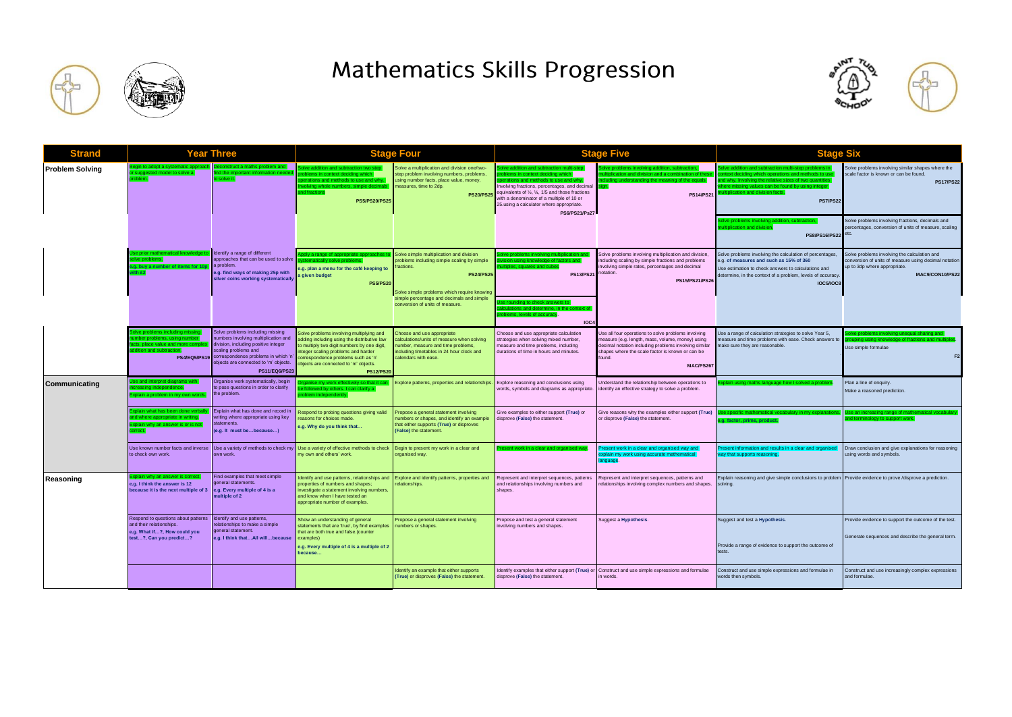

## **Mathematics Skills Progression**



| Strand                 | <b>Year Three</b>                                                                                                                                       |                                                                                                                                                                                                                                                       | Stage Four                                                                                                                                                                                                                                                                      |                                                                                                                                                                                                                       | <b>Stage Five</b>                                                                                                                                                                                                                                                                                                                       |                                                                                                                                                                                                                                             | <b>Stage Six</b>                                                                                                                                                                                                                                                                   |                                                                                                                                                          |
|------------------------|---------------------------------------------------------------------------------------------------------------------------------------------------------|-------------------------------------------------------------------------------------------------------------------------------------------------------------------------------------------------------------------------------------------------------|---------------------------------------------------------------------------------------------------------------------------------------------------------------------------------------------------------------------------------------------------------------------------------|-----------------------------------------------------------------------------------------------------------------------------------------------------------------------------------------------------------------------|-----------------------------------------------------------------------------------------------------------------------------------------------------------------------------------------------------------------------------------------------------------------------------------------------------------------------------------------|---------------------------------------------------------------------------------------------------------------------------------------------------------------------------------------------------------------------------------------------|------------------------------------------------------------------------------------------------------------------------------------------------------------------------------------------------------------------------------------------------------------------------------------|----------------------------------------------------------------------------------------------------------------------------------------------------------|
| <b>Problem Solving</b> | legin to adopt a systematic approacl<br>I model to solve a<br>hlem                                                                                      | Deconstruct a maths problem and<br>ind the important information neede<br>solve it.                                                                                                                                                                   | Solve addition and subtraction two step<br>problems in context deciding which<br>erations and methods to use and why.<br>volving whole numbers, simple decin<br>d fractions<br>PS5/PS20/PS25                                                                                    | Solve a multiplication and division one/two-<br>step problem involving numbers, problems,<br>using number facts, place value, money,<br>measures, time to 2dp.<br><b>PS20/PS2</b>                                     | olve addition and subtraction multi-step<br>oblems in context deciding which<br>ations and methods to use and why<br>Involving fractions, percentages, and decimal<br>equivalents of 1/2, 1/4, 1/5 and those fractions<br>with a denominator of a multiple of 10 or<br>25.using a calculator where appropriate.<br><b>PS6/PS21/Ps27</b> | olve problems involving addition, subtraction,<br>ation and division and a combination of thes<br>standing the meaning of the equals<br>sign.<br><b>PS14/PS21</b>                                                                           | Solve addition and subtraction multi-step problems in<br>ontext deciding which operations and methods to us<br>nd why. Involving the relative sizes of two quantities<br>here missing values can be found by using integer<br>iltiplication and division facts.<br><b>PS7/PS22</b> | Solve problems involving similar shapes where the<br>scale factor is known or can be found.<br><b>PS17/PS22</b>                                          |
|                        |                                                                                                                                                         |                                                                                                                                                                                                                                                       |                                                                                                                                                                                                                                                                                 |                                                                                                                                                                                                                       |                                                                                                                                                                                                                                                                                                                                         |                                                                                                                                                                                                                                             | olve problems involving addition, subtraction,<br>tiplication and division.<br>PS8/PS16/PS22                                                                                                                                                                                       | Solve problems involving fractions, decimals and<br>percentages, conversion of units of measure, scaling                                                 |
|                        | se prior mathematical kn<br>lve problems<br>e.g. buy a number of items for 10<br>with £2                                                                | Identify a range of different<br>approaches that can be used to solve<br>a problem.<br>e.g. find ways of making 25p with<br>silver coins working systematically                                                                                       | bly a range of appropriate approache<br>ically solve problems<br>e.g. plan a menu for the café keeping to<br>given budget<br><b>PS5/PS20</b>                                                                                                                                    | Solve simple multiplication and division<br>problems including simple scaling by simple<br>fractions.<br><b>PS24/PS25</b><br>Solve simple problems which require knowing<br>simple percentage and decimals and simple | olve problems involving multiplication an<br>vision using knowledge of factors and<br>iltiples, squares and cubes<br><b>PS13/PS21</b>                                                                                                                                                                                                   | Solve problems involving multiplication and division,<br>including scaling by simple fractions and problems<br>involving simple rates, percentages and decimal<br>notation<br>PS15/PS21/PS26                                                | Solve problems involving the calculation of percentages<br>e.g. of measures and such as 15% of 360<br>Jse estimation to check answers to calculations and<br>letermine, in the context of a problem, levels of accuracy.<br><b>IOC5/IOC8</b>                                       | Solve problems involving the calculation and<br>conversion of units of measure using decimal notation<br>up to 3dp where appropriate.<br>MAC9/CON10/PS22 |
|                        |                                                                                                                                                         |                                                                                                                                                                                                                                                       |                                                                                                                                                                                                                                                                                 | conversion of units of measure.                                                                                                                                                                                       | se rounding to check answers to<br>culations and determine, in the<br>oblems, levels of accuracy.<br>IOC4                                                                                                                                                                                                                               |                                                                                                                                                                                                                                             |                                                                                                                                                                                                                                                                                    |                                                                                                                                                          |
|                        | iolve problems includina missir<br>mber problems, using number<br>acts, place value and more<br>ddition and subtraction.                                | Solve problems including missing<br>numbers involving multiplication and<br>division, including positive integer<br>scaling problems and<br>PS4/EQ5/PS19 correspondence problems in which 'n<br>bjects are connected to 'm' objects.<br>PS11/EQ6/PS23 | Solve problems involving multiplying and<br>adding including using the distributive law<br>to multiply two digit numbers by one digit,<br>nteger scaling problems and harder<br>correspondence problems such as 'n'<br>bjects are connected to 'm' objects.<br><b>PS12/PS20</b> | Choose and use appropriate<br>calculations/units of measure when solving<br>number, measure and time problems,<br>including timetables in 24 hour clock and<br>calendars with ease.                                   | Choose and use appropriate calculation<br>strategies when solving mixed number,<br>neasure and time problems, including<br>durations of time in hours and minutes.                                                                                                                                                                      | Use all four operations to solve problems involving<br>measure (e.g. length, mass, volume, money) using<br>decimal notation including problems involving similar<br>shapes where the scale factor is known or can be<br>found.<br>MAC/PS267 | Use a range of calculation strategies to solve Year 5,<br>neasure and time problems with ease. Check answers to<br>make sure they are reasonable.                                                                                                                                  | lve problems involving unequal sharing and<br>uping using knowledge of fractions and multiple<br>Use simple formulae<br>F <sub>2</sub>                   |
| Communicating          | e and interpret diagrams with<br>plain a problem in my own words                                                                                        | Organise work systematically, begin<br>to pose questions in order to clarify<br>the problem.                                                                                                                                                          | anise my work effectively so that it ca<br>ollowed by others. I can clarify a<br>blem independently.                                                                                                                                                                            | Explore patterns, properties and relationships.                                                                                                                                                                       | Explore reasoning and conclusions using<br>words, symbols and diagrams as appropriate.                                                                                                                                                                                                                                                  | Jnderstand the relationship between operations to<br>identify an effective strategy to solve a problem.                                                                                                                                     | lain using maths language how I solved a proble                                                                                                                                                                                                                                    | Plan a line of enquiry.<br>Make a reasoned prediction.                                                                                                   |
|                        | plain what has been done ver<br>nd where appropriate in writing.<br>xplain why an answer is or is not<br>mect                                           | Explain what has done and record in<br>writing where appropriate using key<br>statements.<br>(e.g. It must bebecause)                                                                                                                                 | tespond to probing questions giving valid<br>easons for choices made.<br>e.g. Why do you think that                                                                                                                                                                             | Propose a general statement involving<br>numbers or shapes, and identify an example<br>that either supports (True) or disproves<br>(False) the statement.                                                             | Give examples to either support (True) or<br>disprove (False) the statement.                                                                                                                                                                                                                                                            | Give reasons why the examples either support (True)<br>or disprove (False) the statement.                                                                                                                                                   | e specific mathematical vocabulary in my explanati<br>g. factor, prime, product                                                                                                                                                                                                    | Use an increasing range of mathematical vocabulary<br>nd terminology to support work.                                                                    |
|                        | to check own work.                                                                                                                                      | Use known number facts and inverse Use a variety of methods to check my<br>wn work.                                                                                                                                                                   | Use a variety of effective methods to check<br>ny own and others' work.                                                                                                                                                                                                         | Begin to present my work in a clear and<br>organised way.                                                                                                                                                             | esent work in a clear and organised way                                                                                                                                                                                                                                                                                                 | resent work in a clear and organised way and<br>explain my work using accurate mathematical<br>anguage.                                                                                                                                     | resent information and results in a clear and organised<br>way that supports reasoning.                                                                                                                                                                                            | Draw conclusion and give explanations for reasoning<br>using words and symbols.                                                                          |
| Reasoning              | plain why an answer is corred<br>e.g. I think the answer is 12<br>because it is the next multiple of 3                                                  | Find examples that meet simple<br>eneral statements.<br>e.g. Every multiple of 4 is a<br>nuitiple of 2                                                                                                                                                | Identify and use patterns, relationships and<br>properties of numbers and shapes;<br>investigate a statement involving numbers,<br>and know when I have tested an<br>appropriate number of examples.                                                                            | Explore and identify patterns, properties and<br>relationships.                                                                                                                                                       | Represent and interpret sequences, patterns<br>and relationships involving numbers and<br>shapes.                                                                                                                                                                                                                                       | Represent and interpret sequences, patterns and<br>elationships involving complex numbers and shapes.                                                                                                                                       | Explain reasoning and give simple conclusions to problem Provide evidence to prove /disprove a prediction.<br>solving.                                                                                                                                                             |                                                                                                                                                          |
|                        | Respond to questions about patterns   Identify and use patterns,<br>and their relationships.<br>e.g. What if?, How could you<br>test?, Can you predict? | alationshins to make a simple<br>eneral statement.<br>e.g. I think thatAll willbecause                                                                                                                                                                | Show an understanding of general<br>statements that are 'true', by find examples<br>that are both true and false.(counter<br>examples)<br>e.g. Every multiple of 4 is a multiple of 2<br>because                                                                                | Propose a general statement involving<br>numbers or shapes.                                                                                                                                                           | Propose and test a general statement<br>involving numbers and shapes.                                                                                                                                                                                                                                                                   | Suggest a Hypothesis.                                                                                                                                                                                                                       | Suggest and test a Hypothesis.<br>Provide a range of evidence to support the outcome of                                                                                                                                                                                            | Provide evidence to support the outcome of the test.<br>Generate sequences and describe the general term.                                                |
|                        |                                                                                                                                                         |                                                                                                                                                                                                                                                       |                                                                                                                                                                                                                                                                                 | dentify an example that either supports<br>(True) or disproves (False) the statement.                                                                                                                                 | disprove (False) the statement.                                                                                                                                                                                                                                                                                                         | dentify examples that either support (True) or Construct and use simple expressions and formulae<br>in words.                                                                                                                               | Construct and use simple expressions and formulae in<br>words then symbols.                                                                                                                                                                                                        | Construct and use increasingly complex expressions<br>and formulae.                                                                                      |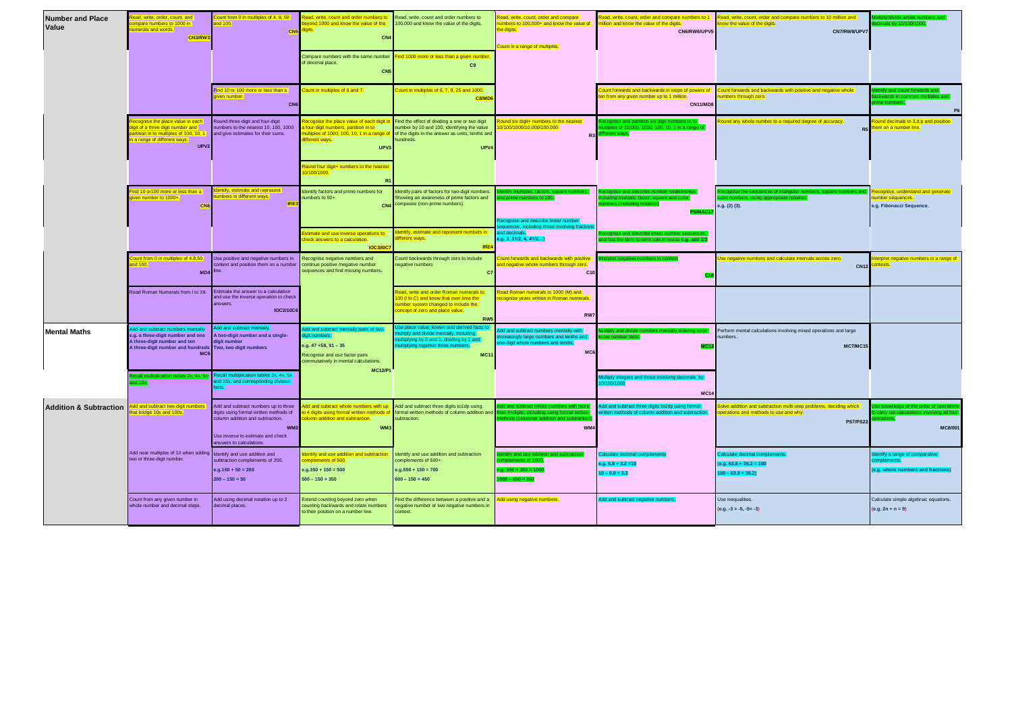| <b>Number and Place</b><br>Value  | ead, write, order, count, and<br>ompare numbers to 1000 in<br>imerals and words.<br>CN3/RW3                                                                      | unt from 0 in multiples of 4, 8, 50<br>$d$ 100.<br>CN <sub>5</sub>                                                                                                                        | lead, write, count and order numbers to<br>eyond 1000 and know the value of the<br>inits.<br>CN4<br>Compare numbers with the same number<br>of decimal place.<br><b>CN!</b>                                                  | Read, write, count and order numbers to<br>100,000 and know the value of the digits.<br>ind 1000 more or less than a given number<br>C9                                                                    | ad, write, count, order and compare<br>mbers to 100,000+ and know the value of<br>e digits.<br>ount in a range of multiples. | illion and know the value of the digits.<br>CN6/RW6/UPV5                                                                                   | Read, write, count, order and compare numbers to 1 Read, write, count, order and compare numbers to 10 million and<br>now the value of the digits.<br>CN7/RW8/UPV7 | s by 10/100/1000                                                                           |
|-----------------------------------|------------------------------------------------------------------------------------------------------------------------------------------------------------------|-------------------------------------------------------------------------------------------------------------------------------------------------------------------------------------------|------------------------------------------------------------------------------------------------------------------------------------------------------------------------------------------------------------------------------|------------------------------------------------------------------------------------------------------------------------------------------------------------------------------------------------------------|------------------------------------------------------------------------------------------------------------------------------|--------------------------------------------------------------------------------------------------------------------------------------------|--------------------------------------------------------------------------------------------------------------------------------------------------------------------|--------------------------------------------------------------------------------------------|
|                                   |                                                                                                                                                                  | nd 10 or 100 more or less than a<br>iven number.<br>CNE                                                                                                                                   | ount in multiples of 6 and 7.                                                                                                                                                                                                | ount in multiples of 6, 7, 9, 25 and 1000.<br>C8/MD                                                                                                                                                        |                                                                                                                              | ount forwards and backwards in steps of powers of<br>en from any given number up to 1 million.<br><b>CN11/MD8</b>                          | count forwards and backwards with positive and negative whole<br>mbers through zero.                                                                               | itify and count forwards and<br>ckwards in common multiples an<br>ne numbers.<br><b>P6</b> |
|                                   | cognise the place value in each<br>ligit of a three digit number and<br>artition in to multiples of 100, 10, 1<br>a range of different ways.<br>UPV <sub>2</sub> | Round three-digit and four-digit<br>umbers to the nearest 10, 100, 1000<br>and give estimates for their sums.                                                                             | cognise the place value of each digit in<br>four-digit numbers, partition in to<br>ultiples of 1000, 100, 10, 1 in a range of<br>lifferent ways<br>UPV <sub>3</sub><br>ound four digit+ numbers to the neares<br>0/100/1000. | Find the effect of dividing a one or two digit<br>number by 10 and 100, identifying the value<br>of the digits in the answer as units, tenths and<br>undreds.<br>UPV4                                      | und six digit+ numbers to the nearest<br>100/1000/10,000/100,000.<br>R <sub>3</sub>                                          | Itiples of 10,000, 1000, 100, 10, 1 in a range of<br>erent ways.                                                                           | bund any whole number to a required degree of accuracy.<br>R5                                                                                                      | und decimals to 3.d.p and position<br>em on a number line.                                 |
|                                   | nd 10 or 100 more or less than a<br>iven number to 1000+.<br>CN                                                                                                  | entify, estimate and represent<br>nbers in different ways.<br>IRE3                                                                                                                        | dentify factors and prime numbers for<br>umbers to 50+.<br>CN<br>stimate and use inverse operations to<br>heck answers to a calculation.<br><b>IOC3/I0C</b>                                                                  | dentify pairs of factors for two-digit numbers.<br>Showing an awareness of prime factors and<br>composite (non-prime numbers).<br>entify, estimate and represent numbers in<br>fferent ways.<br><b>IRE</b> | cognise and describe linear number<br>quences, including those involving fractio<br>nd decimals.<br>a.g. 3, 31/2, 4, 41/2    | duding multiple, factor, square a<br>mbers.(including notation)<br>5/MAC<br>escribe linear number s<br>term-to-term rule in words e.g. add | ise the sequences of triangular numbers, square numbers an<br>e.g. (2) (3).                                                                                        | Recognise, understand and generate<br>umber sequences.<br>e.g. Fibonacci Sequence.         |
|                                   | ount from 0 in multiples of 4.8.50<br>nd 100.<br>MD4 line.                                                                                                       | Use positive and negative numbers in<br>ontext and position them on a number                                                                                                              | Recognise negative numbers and<br>ontinue positive /negative number<br>equences and find missing numbers.                                                                                                                    | Count backwards through zero to include<br>egative numbers<br>C7                                                                                                                                           | bunt forwards and backwards with positive<br>I negative whole numbers through zero.<br>C10                                   |                                                                                                                                            | e negative numbers and calculate intervals across zero.<br><b>CN12</b>                                                                                             | erpret negative numbers in a range of<br>ntexts.                                           |
|                                   | Read Roman Numerals from I to XII.                                                                                                                               | Estimate the answer to a calculation<br>and use the inverse operation to check<br>answers.<br><b>IOC2/10C6</b>                                                                            |                                                                                                                                                                                                                              | ad, write and order Roman numerals to<br>10 (I to C) and know that over time the<br>umber system changed to include the<br>oncept of zero and place value.<br><b>RW</b>                                    | ead Roman numerals to 1000 (M) and<br>ognise years written in Roman numerals.<br>RW7                                         |                                                                                                                                            |                                                                                                                                                                    |                                                                                            |
| <b>Mental Maths</b>               | dd and subtract numbers mi<br>e.g. a three-digit number and one<br>A three-digit number and ten<br>A three-digit number and hundreds<br>MC:                      | dd and subtract mentally.<br>A two-digit number and a single-<br>ligit number<br>Two, two digit numbers                                                                                   | dd and subtract mentally pairs of two-<br>git numbers.<br>e.g. $47 + 58$ , $91 - 35$<br>Recognise and use factor pairs<br>commutatively in mental calculations.<br><b>MC12/P1</b>                                            | e place value. known and derived facts t<br>ply and divide mentally, including<br>tiplying by 0 and 1, dividing by 1 and<br>tiplying together three numbers.<br><b>MC11</b>                                | d and subtract numbers mentally with<br>reasingly large numbers and tenths and<br>e-digit whole numbers and tenths.<br>MC6   | lltiply and divide<br>w number facts.                                                                                                      | Perform mental calculations involving mixed operations and large<br>umbers<br><b>MC7/MC15</b>                                                                      |                                                                                            |
|                                   | ition tables 2x, 4x, 5<br>nd 10x,                                                                                                                                | call multiplication tables 2x, 4x, 5x<br>d 10x, and corresponding division                                                                                                                |                                                                                                                                                                                                                              |                                                                                                                                                                                                            |                                                                                                                              | fultiply integers and those involving decimals by<br>0/100/1000<br><b>MC14</b>                                                             |                                                                                                                                                                    |                                                                                            |
| <b>Addition &amp; Subtraction</b> | dd and subtract two-digit numbers<br>at bridge 10s and 100s.                                                                                                     | Add and subtract numbers up to three<br>ligits using formal written methods of<br>olumn addition and subtraction.<br>WM:<br>Use inverse to estimate and check<br>inswers to calculations. | dd and subtract whole numbers with up<br>o 4 digits using formal written methods of<br>olumn addition and subtraction.<br><b>WM</b>                                                                                          | Add and subtract three digits to1dp using<br>formal written methods of column addition and<br>subtraction.                                                                                                 | I and subtract whole numbers with me<br>an 4+digits, including using formal wr<br>WM.                                        | Add and subtract three digits to2dp using formal<br>written methods of column addition and subtraction.                                    | Solve addition and subtraction multi-step problems, deciding which<br>perations and methods to use and why.<br><b>PS7/PS22</b>                                     | lge of the order of operat<br>MC8/001                                                      |
|                                   | Add near multiples of 10 when adding<br>two or three-digit number.                                                                                               | Identify and use addition and<br>subtraction complements of 200.<br>$e.g. 150 + 50 = 200$<br>$200 - 150 = 50$                                                                             | lentify and use addition and subtraction<br>mplements of 500.<br>$e.g.350 + 150 = 500$<br>$500 - 150 = 350$                                                                                                                  | Identify and use addition and subtraction<br>complements of 500+<br>$e.g. 550 + 150 = 700$<br>$600 - 150 = 450$                                                                                            | itify and use addition ar<br>nts of 100<br>$.650 + 350 = 10$<br>$0 - 650 = 350$                                              | alculate decimal<br>e.g. $6.8 + 3.2 = 10$<br>$10 - 6.8 = 3.2$                                                                              | alculate decimal complements.<br>$(e.g. 63.8 + 36.2 = 100)$<br>$100 - 63.8 = 36.2$                                                                                 | dentify a range of comparative<br>(e.g. whole numbers and fractions)                       |
|                                   | Count from any given number in<br>whole number and decimal steps.                                                                                                | Add using decimal notation up to 2<br>decimal places.                                                                                                                                     | Extend counting beyond zero when<br>counting backwards and relate numbers<br>to their position on a number line.                                                                                                             | ind the difference between a positive and a<br>negative number or two negative numbers in<br>context.                                                                                                      | dd using negative numbers.                                                                                                   | Add and subtract negative numbers.                                                                                                         | Use inequalities.<br>$(e.g. -3 > -5, -5 < -3)$                                                                                                                     | Calculate simple algebraic equations.<br>$(e.g. 2n + n = 9)$                               |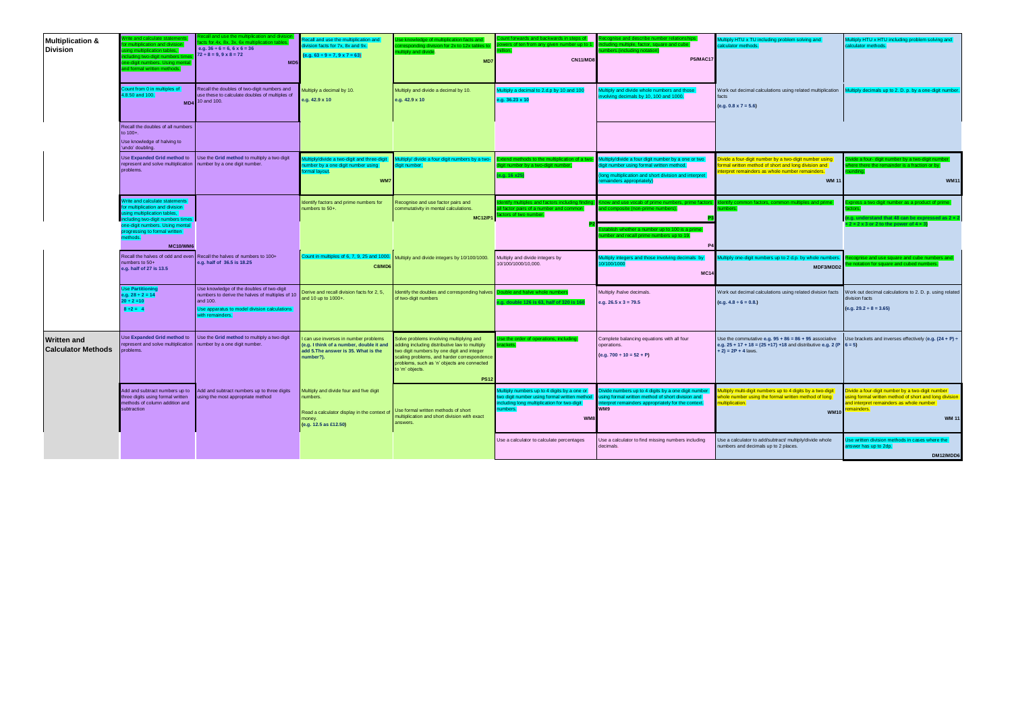| <b>Multiplication &amp;</b><br><b>Division</b>  | Vrite and calculate stateme<br>ation and divisio<br>sing multiplication tables,<br>cluding two-digit numbers tim<br>ne-digit numbers. Using menta<br>and formal written methods.                                                  | ecall and use the multiplication and div<br>icts for 4x. 8x. 3x. 6x multiplica<br>e.g. $36 \div 6 = 6$ , $6 \times 6 = 36$<br>$72 \div 8 = 9, 9 \times 8 = 72$<br>M <sub>D5</sub> | tecall and use the multiplication and<br>ivision facts for 7x, 8x and 9x.<br>$(e.g. 63 ÷ 9 = 7, 9 × 7 = 63)$                          | se knowledge of multiplication facts and<br>prresponding division for 2x to 12x tables to<br>ultiply and divide.<br>MD7                                                                                                                                                 | ount forwards and backwards in steps of<br>wers of ten from any given number up to 1<br>llion<br><b>CN11/MD8</b>    | cognise and describe number relationships<br>ding multiple, factor, square and cube<br>mbers.(including notation)<br><b>P5/MAC17</b>                                                                               | Multiply HTU x TU including problem solving and<br>calculator methods.                                                                                                          | Multiply HTU x HTU including problem solving and<br>calculator methods.                                                                                                           |
|-------------------------------------------------|-----------------------------------------------------------------------------------------------------------------------------------------------------------------------------------------------------------------------------------|-----------------------------------------------------------------------------------------------------------------------------------------------------------------------------------|---------------------------------------------------------------------------------------------------------------------------------------|-------------------------------------------------------------------------------------------------------------------------------------------------------------------------------------------------------------------------------------------------------------------------|---------------------------------------------------------------------------------------------------------------------|--------------------------------------------------------------------------------------------------------------------------------------------------------------------------------------------------------------------|---------------------------------------------------------------------------------------------------------------------------------------------------------------------------------|-----------------------------------------------------------------------------------------------------------------------------------------------------------------------------------|
|                                                 | Count from 0 in multiples of<br>8.50 and 100.<br>M <sub>D4</sub>                                                                                                                                                                  | Recall the doubles of two-digit numbers and<br>use these to calculate doubles of multiples of<br>10 and 100.                                                                      | Multiply a decimal by 10.<br>e.g. 42.9 x 10                                                                                           | Multiply and divide a decimal by 10.<br>e.g. 42.9 x 10                                                                                                                                                                                                                  | fultiply a decimal to 2.d.p by 10 and 100<br>e.g. 36.23 x 10                                                        | ultiply and divide whole numbers and those<br>nvolving decimals by 10, 100 and 1000.                                                                                                                               | Work out decimal calculations using related multiplication<br>facts<br>$(e.g. 0.8 \times 7 = 5.6)$                                                                              | Multiply decimals up to 2. D. p. by a one-digit number                                                                                                                            |
|                                                 | Recall the doubles of all numbers<br>to 100+.<br>Use knowledge of halving to<br>'undo' doubling.                                                                                                                                  |                                                                                                                                                                                   |                                                                                                                                       |                                                                                                                                                                                                                                                                         |                                                                                                                     |                                                                                                                                                                                                                    |                                                                                                                                                                                 |                                                                                                                                                                                   |
|                                                 | Use Expanded Grid method to<br>represent and solve multiplication<br>problems.                                                                                                                                                    | Use the Grid method to multiply a two digit<br>number by a one digit number.                                                                                                      | ltiply/divide a two-digit and three-digit<br>number by a one digit number using<br>formal layout.<br>WM7                              | Multiply/ divide a four digit numbers by a two-<br>digit number.                                                                                                                                                                                                        | tend methods to the multiplication of a two-<br>digit number by a two-digit number,<br>e.g. 16 x25)                 | Aultiply/divide a four digit number by a one or two<br>digit number using formal written method.<br>ong multiplication and short division and interpret<br>nainders appropriately)                                 | livide a four-digit number by a two-digit number using<br>ormal written method of short and long division and<br>terpret remainders as whole number remainders.<br><b>WM 11</b> | vide a four- digit number by a two-digit number<br>here there the remainder is a fraction or by<br><b>WM11</b>                                                                    |
|                                                 | Write and calculate statements<br>for multiplication and division<br>using multiplication tables,<br>including two-digit numbers times<br>one-digit numbers. Using mental<br>progressing to formal written<br>ethods.<br>MC10/WM6 |                                                                                                                                                                                   | Identify factors and prime numbers for<br>numbers to 50+.                                                                             | Recognise and use factor pairs and<br>commutativity in mental calculations.<br><b>MC12/P1</b>                                                                                                                                                                           | dentify multiples and factors including finding.<br>Ill factor pairs of a number and common<br>ctors of two number. | Know and use vocab of prime numbers, prime factors<br>nd composite (non-prime numbers)<br>stablish whether a number up to 100 is a prime<br>mber and recall prime numbers up to 19.                                | factors, common multiples and prime                                                                                                                                             | press a two digit number as a product of prime<br>(e.g. understand that 48 can be expressed as $2 \times 2$<br>$x 2 x 2 x 3$ or 2 to the power of $4 x 3$ )                       |
|                                                 | Recall the halves of odd and even<br>numbers to 50+<br>e.g. half of 27 is 13.5                                                                                                                                                    | Recall the halves of numbers to 100+<br>e.g. half of 36.5 is 18.25                                                                                                                | Count in multiples of 6, 7, 9, 25 and 1000.<br>C8/MD6                                                                                 | Multiply and divide integers by 10/100/1000.                                                                                                                                                                                                                            | Multiply and divide integers by<br>10/100/1000/10.000.                                                              | lultiply integers and those involving decimals by<br>0/100/1000<br><b>MC14</b>                                                                                                                                     | ultiply one-digit numbers up to 2 d.p. by whole numbe<br>MDF3/MDD2                                                                                                              | cognise and use square and cube numbers and<br>notation for square and cubed numbers.                                                                                             |
|                                                 | <b>Use Partitionin</b><br>e.g. $28 \div 2 = 14$<br>$20 \div 2 = 10$<br>$8 \div 2 = 4$                                                                                                                                             | Use knowledge of the doubles of two-digit<br>numbers to derive the halves of multiples of 10<br>and 100.<br>Use apparatus to model division calculations<br>with remainders.      | Derive and recall division facts for 2, 5,<br>and 10 up to 1000+.                                                                     | dentify the doubles and corresponding halves<br>of two-digit numbers                                                                                                                                                                                                    | uble and halve whole numbe<br>a. double 126 is 63, half of 320 is 160                                               | Multiply /halve decimals.<br>e.g. $26.5 \times 3 = 79.5$                                                                                                                                                           | Work out decimal calculations using related division facts<br>$(e.g. 4.8 \div 6 = 0.8.)$                                                                                        | Work out decimal calculations to 2. D. p. using related<br>division facts<br>$(e.g. 29.2 \div 8 = 3.65)$                                                                          |
| <b>Written and</b><br><b>Calculator Methods</b> | Use Expanded Grid method to<br>represent and solve multiplication<br>roblems.                                                                                                                                                     | Use the Grid method to multiply a two digit<br>number by a one digit number.                                                                                                      | can use inverses in number problems<br>(e.g. I think of a number, double it and<br>add 5. The answer is 35. What is the<br>number?).  | Solve problems involving multiplying and<br>adding including distributive law to multiply<br>two digit numbers by one digit and integer<br>scaling problems, and harder correspondence<br>problems, such as 'n' objects are connected<br>to 'm' objects.<br><b>PS12</b> | se the order of operations, including<br>ackets.                                                                    | Complete balancing equations with all four<br>operations.<br>$(e.g. 700 \div 10 = 52 + P)$                                                                                                                         | Use the commutative e.g. $95 + 86 = 86 + 95$ associative<br>e.g. $25 + 17 + 18 = (25 + 17) + 18$ and distributive e.g. 2 (P $6 = 5$ )<br>$+ 2$ ) = 2P + 4 laws.                 | Use brackets and inverses effectively (e.g. $(24 + P) \div$                                                                                                                       |
|                                                 | Add and subtract numbers up to<br>three digits using formal written<br>methods of column addition and<br>subtraction                                                                                                              | Add and subtract numbers up to three digits<br>sing the most appropriate method                                                                                                   | Multiply and divide four and five digit<br>numbers.<br>Read a calculator display in the context of<br>money.<br>(e.g. 12.5 as £12.50) | Use formal written methods of short<br>multiplication and short division with exact<br>answers.                                                                                                                                                                         | ltiply numbers up to 4 digits by a one or<br>ncluding long multiplication for two-digit<br>umbers.<br>WM8           | Divide numbers up to 4 digits by a one digit number<br>two digit number using formal written method using formal written method of short division and<br>nterpret remainders appropriately for the context.<br>WM9 | fultiply multi-digit numbers up to 4 digits by a two-digit<br>whole number using the formal written method of long<br>multiplication.<br><b>WM10</b>                            | vide a four-digit number by a two-digit number<br>ing formal written method of short and long division<br>and interpret remainders as whole number<br>remainders.<br><b>WM 11</b> |
|                                                 |                                                                                                                                                                                                                                   |                                                                                                                                                                                   |                                                                                                                                       |                                                                                                                                                                                                                                                                         | Use a calculator to calculate percentages                                                                           | Use a calculator to find missing numbers including<br>decimals.                                                                                                                                                    | Use a calculator to add/subtract/ multiply/divide whole<br>numbers and decimals up to 2 places.                                                                                 | se written division methods in cases where the<br>answer has up to 2dp.<br>DM12/MDD6                                                                                              |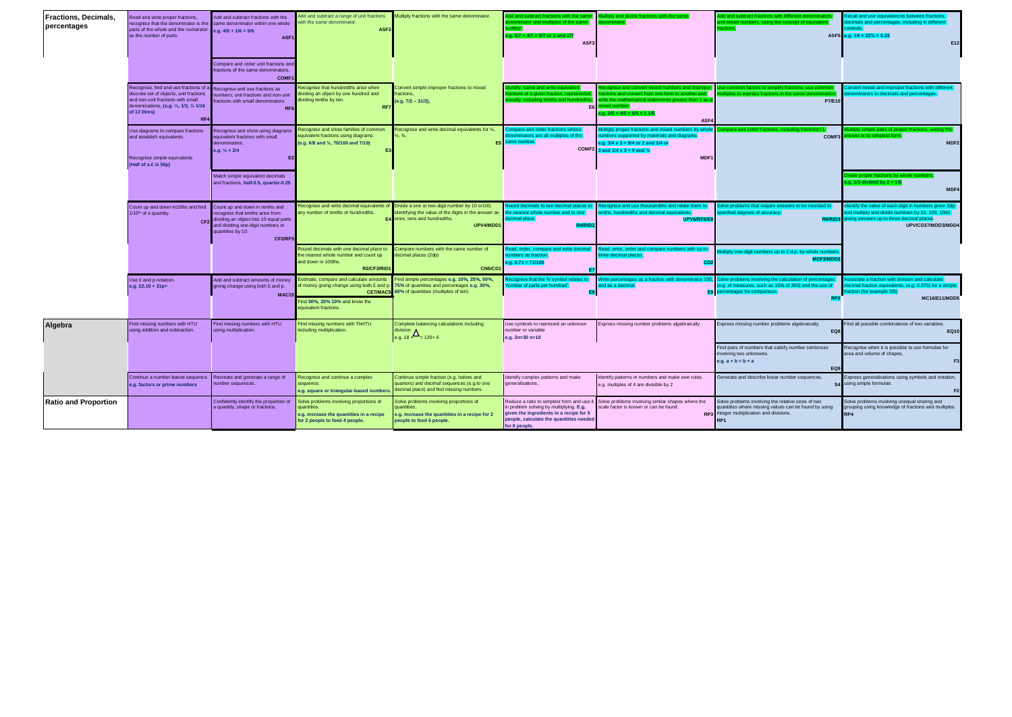| Fractions, Decimals,<br>percentages | Read and write proper fractions,<br>recognise that the denominator is the same denominator within one whole<br>parts of the whole and the numerator<br>as the number of parts.            | Add and subtract fractions with the<br>e.g. $4/6 + 1/6 = 5/6$<br>ASF1<br>Compare and order unit fractions an<br>fractions of the same denominators.<br><b>COMF1</b>                    | dd and subtract a range of unit fractions<br>ith the same denominator.<br>ASF <sub>2</sub>                                           | Multiply fractions with the same denominator.                                                                                                                                              | ractions with the sa<br>minator and multiples of the same<br>$q. 5/7 + 4/7 = 9/7$ or 1 and 2/<br>ASF3                                                                                      | tiply and divide fractions with the same                                                                                                                                                                                    | dd and subtract fractions with different denominators<br>and mixed numbers, using the concept of equivale                                                                                                                   | Recall and use equivalences between fractions<br>ecimals and percentages, including in different<br>ntexts.<br>ASF5 e.g. $1/4 = 25\% = 0.25$<br>E12                          |
|-------------------------------------|-------------------------------------------------------------------------------------------------------------------------------------------------------------------------------------------|----------------------------------------------------------------------------------------------------------------------------------------------------------------------------------------|--------------------------------------------------------------------------------------------------------------------------------------|--------------------------------------------------------------------------------------------------------------------------------------------------------------------------------------------|--------------------------------------------------------------------------------------------------------------------------------------------------------------------------------------------|-----------------------------------------------------------------------------------------------------------------------------------------------------------------------------------------------------------------------------|-----------------------------------------------------------------------------------------------------------------------------------------------------------------------------------------------------------------------------|------------------------------------------------------------------------------------------------------------------------------------------------------------------------------|
|                                     | Recognise, find and use fractions of a<br>discrete set of objects, unit fractions<br>and non-unit fractions with small<br>denominations, (e.g. 1/2, 1/3, 1/4 1/16<br>of 12 litres)<br>RF4 | Recognise and use fractions as<br>numbers, unit fractions and non-unit<br>fractions with small denominators<br>RF <sub>6</sub>                                                         | Recognise that hundredths arise when<br>dividing an object by one hundred and<br>dividing tenths by ten.<br>RF7                      | Convert simple improper fractions to mixed<br>fractions.<br>(e.g. 7/2 - 31/2),                                                                                                             | itify, name and write equivalen<br>ctions of a given fraction, represente<br>ually, including tenths and hundredth<br>E <sub>6</sub>                                                       | cognise and convert mixed numbers and impror<br>actions and convert from one form to another and<br>write the mathematical statements greater than 1 as a<br>nixed number.<br>$a. 2/5 + 4/5 = 6/5 = 11/5$<br>ASF4           | Use common factors to simplify fractions: use comm<br>iples to express fractions in the same denomir<br><b>P7/E10</b>                                                                                                       | convert mixed and improper fractions with different<br>nominators to decimals and percentages.                                                                               |
|                                     | Use diagrams to compare fractions<br>and establish equivalents.<br>Recognise simple equivalents.<br>(Half of a £ is 50p)                                                                  | Recognise and show using diagrams<br>equivalent fractions with small<br>denominators.<br>e.g. $\frac{1}{2}$ = 2/4<br>E                                                                 | Recognise and show families of common<br>equivalent fractions using diagrams.<br>(e.g. 6/8 and %, 70/100 and 7/10)                   | Recognise and write decimal equivalents for %,                                                                                                                                             | ompare and order fractions whose<br>enominators are all multiples of the<br>E5 same number.                                                                                                | fultiply proper fractions and mixed numbers by whol<br>umbers supported by materials and diagrams<br>e.g. $3/4 \times 3 = 9/4$ or 2 and 1/4 or<br>COMF2 $\frac{3 \text{ and } 1}{4 \times 3} = 9$ and $\frac{3}{4}$<br>MDF1 | mpare and order fractions, including fractions>1<br>COMF3                                                                                                                                                                   | iltiply simple pairs of proper fractions, writing the<br>iswer in its simplest form.<br>MDF <sub>2</sub>                                                                     |
|                                     |                                                                                                                                                                                           | Match simple equivalent decimals<br>and fractions, half-0.5, quarter-0.25                                                                                                              |                                                                                                                                      |                                                                                                                                                                                            |                                                                                                                                                                                            |                                                                                                                                                                                                                             |                                                                                                                                                                                                                             | vide proper fractions by whole numb<br>g. $1/3$ divided by $2 = 1/6$<br>MDF4                                                                                                 |
|                                     | Count up and down in10ths and find<br>1/10 <sup>th</sup> of a quantity.                                                                                                                   | Count up and down in tenths and<br>recognise that tenths arise from<br>CF2 dividing an object into 10 equal parts<br>and dividing one-digit numbers or<br>quantities by 10.<br>CF2/RF5 | any number of tenths or hundredths.<br>E4                                                                                            | Recognise and write decimal equivalents of Divide a one or two-digit number by 10 or100,<br>dentifying the value of the digits in the answer as<br>ones, tens and hundredths.<br>UPV4/MDD1 | the nearest whole number and to one<br>lecimal place.                                                                                                                                      | Round decimals to two decimal places to <b>Recognise and use thousandths and relate them to</b><br>tenths, hundredths and decimal equivalents.<br>UPV6/RF8/E                                                                | Solve problems that require answers to be rounded to<br>specified degrees of accuracy.<br><b>R6/RID:</b>                                                                                                                    | dentify the value of each digit in numbers given 3dp<br>and multiply and divide numbers by 10, 100, 1000<br>giving answers up to three decimal places.<br>UPV/CD37/MDD3/MDD4 |
|                                     |                                                                                                                                                                                           |                                                                                                                                                                                        | ound decimals with one decimal place to<br>he nearest whole number and count up<br>and down in 100ths.<br>R2/CF3/RID                 | Compare numbers with the same number of<br>decimal places (2dp)<br><b>CN5/CD1</b>                                                                                                          | lead, order, compare and write decima<br>umbers as fraction.<br>$.9.0.71 = 71/100$                                                                                                         | tead, write, order and compare numbers with up to<br>hree decimal places.<br>CD <sub>2</sub>                                                                                                                                | Multiply one-digit numbers up to 2 d.p. by whole numb<br>MDF3/MDD                                                                                                                                                           |                                                                                                                                                                              |
|                                     | Use £ and p notation.<br>e.g. £2.10 + 31p=                                                                                                                                                | Add and subtract amounts of money<br>giving change using both £ and p.<br>MAC15                                                                                                        | Estimate, compare and calculate amounts<br>CE7/MAC5<br>Find 50%, 20% 10% and know the<br>equivalent fractions.                       | Find simple percentages e.g. 10%, 25%, 50%,<br>of money giving change using both £ and p. 75% of quantities and percentages e.g. 30%,<br>60% of quantities (multiples of ten).             | ecognise that the % symbol relates to<br>umber of parts per hundred'.                                                                                                                      | and as a decimal                                                                                                                                                                                                            | Write percentages as a fraction with denominator 100, Solve problems involving the calculation of percentages<br>(e.g. of measures, such as 15% of 360) and the use of<br>E9 percentages for comparison.<br>RP <sub>2</sub> | sociate a fraction with division and calculate<br>lecimal fraction equivalents, (e.g. 0.375) for a simple<br>action (for example 3/8)<br>MC16/E11/MDD5                       |
| Algebra                             | Find missing numbers with HTU<br>using addition and subtraction.                                                                                                                          | Find missing numbers with HTU<br>using multiplication.                                                                                                                                 | Find missing numbers with ThHTU<br>including multiplication.                                                                         | Complete balancing calculations including<br>division. $\Delta$<br>e.g. 18 + = 120+ 6                                                                                                      | Use symbols to represent an unknown<br>number or variable<br>e.g. 3n=30 n=10                                                                                                               | Express missing number problems algebraically.                                                                                                                                                                              | Express missing number problems algebraically.<br>EQ8<br>Find pairs of numbers that satisfy number sentences<br>involving two unknowns.                                                                                     | Find all possible combinations of two variables.<br><b>EQ10</b><br>Recognise when it is possible to use formulae for<br>area and volume of shapes.                           |
|                                     |                                                                                                                                                                                           |                                                                                                                                                                                        |                                                                                                                                      |                                                                                                                                                                                            |                                                                                                                                                                                            |                                                                                                                                                                                                                             | $e.g. a + b = b + a$<br>EQ9                                                                                                                                                                                                 | F <sub>3</sub>                                                                                                                                                               |
|                                     | Continue a number-based sequence. Recreate and generate a range of<br>e.g. factors or prime numbers                                                                                       | number sequences.                                                                                                                                                                      | Recognise and continue a complex<br>sequence.<br>e.g. square or triangular-based number:                                             | Continue simple fraction (e.g. halves and<br>quarters) and decimal sequences (e.g.to one<br>decimal place) and find missing numbers.                                                       | Identify complex patterns and make<br>generalisations.                                                                                                                                     | Identify patterns in numbers and make own rules.<br>e.g. multiples of 4 are divisible by 2                                                                                                                                  | Generate and describe linear number sequences.                                                                                                                                                                              | Express generalisations using symbols and notation,<br>S4 using simple formulae.                                                                                             |
| <b>Ratio and Proportion</b>         |                                                                                                                                                                                           | Confidently identify the proportion of<br>a quantity, shape or fractions.                                                                                                              | Solve problems involving proportions of<br>quantities.<br>e.g. increase the quantities in a recipe<br>for 2 people to feed 4 people. | Solve problems involving proportions of<br>quantities.<br>e.g. increase the quantities in a recipe for 2<br>people to feed 6 people.                                                       | Reduce a ratio to simplest form and use i<br>n problem solving by multiplying. E.g.<br>given the ingredients in a recipe for 5<br>people, calculate the quantities needed<br>for 8 people. | Solve problems involving similar shapes where the<br>cale factor is known or can be found.                                                                                                                                  | Solve problems involving the relative sizes of two<br>quantities where missing values can be found by using<br>RP3 integer multiplication and divisions.<br>RP <sub>1</sub>                                                 | Solve problems involving unequal sharing and<br>grouping using knowledge of fractions and multiples.<br>RP4                                                                  |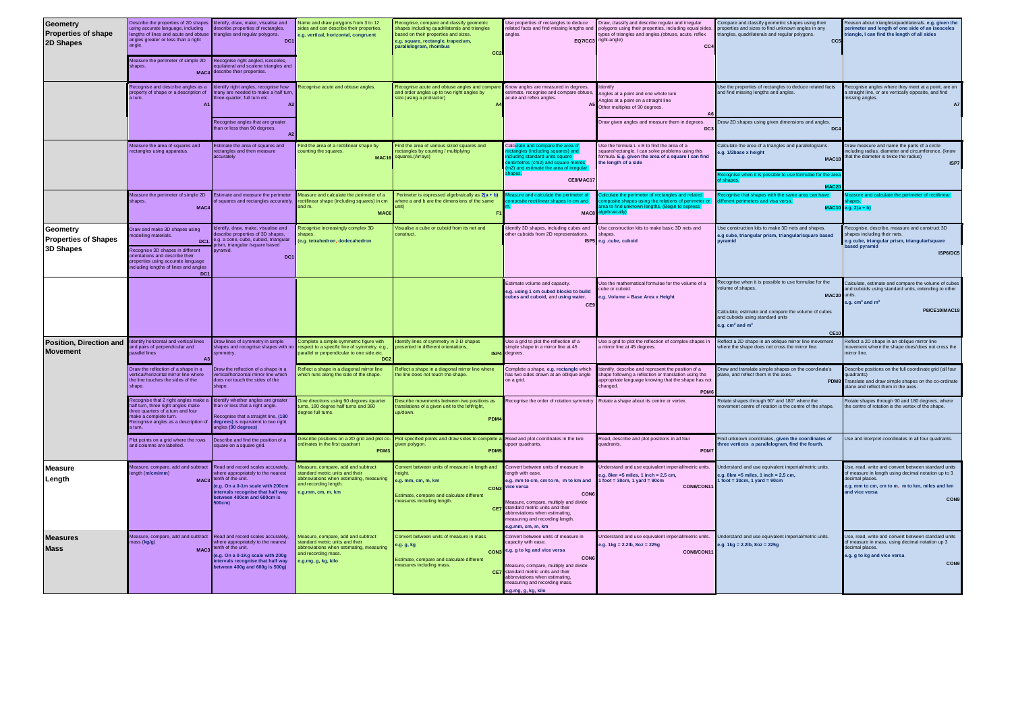| <b>Geometry</b><br><b>Properties of shape</b><br>2D Shapes  | Describe the properties of 2D shapes<br>sing accurate language, including<br>lengths of lines and acute and obtuse<br>angles greater or less than a right<br>leasure the perimeter of simple 2D<br>shapes.<br><b>MAC4</b>         | dentify, draw, make, visualise and<br>scribe properties of rectangles,<br>angles and regular polygons.<br>DC:<br>Recognise right angled, isosceles<br>quilateral and scalene triangles and<br>describe their properties. | Vame and draw polygons from 3 to 12<br>sides and can describe their properties<br>a.g. vertical, horizontal, congruent                                          | Recognise, compare and classify geometric<br>shapes including quadrilaterals and triangles<br>ased on their properties and sizes.<br>e.g. square, rectangle, trapezium.<br>parallelogram, rhombus<br>CC: | Use properties of rectangles to deduce<br>elated facts and find missing lengths and<br>angles.<br><b>EQ7/CC3</b>                                                                                                                                                                       | Draw, classify and describe regular and irregular<br>polygons using their properties, including equal sides<br>ypes of triangles and angles (obtuse, acute, reflex<br>right-angle)<br>CC4   | Compare and classify geometric shapes using their<br>properties and sizes to find unknown angles in any<br>triangles, quadrilaterals and regular polygons.<br>CC <sub>5</sub>                                       | eason about triangles/quadrilaterals. e.g. given the<br>meter and length of one side of an isosceles<br>iangle, I can find the length of all sides                                                                   |
|-------------------------------------------------------------|-----------------------------------------------------------------------------------------------------------------------------------------------------------------------------------------------------------------------------------|--------------------------------------------------------------------------------------------------------------------------------------------------------------------------------------------------------------------------|-----------------------------------------------------------------------------------------------------------------------------------------------------------------|----------------------------------------------------------------------------------------------------------------------------------------------------------------------------------------------------------|----------------------------------------------------------------------------------------------------------------------------------------------------------------------------------------------------------------------------------------------------------------------------------------|---------------------------------------------------------------------------------------------------------------------------------------------------------------------------------------------|---------------------------------------------------------------------------------------------------------------------------------------------------------------------------------------------------------------------|----------------------------------------------------------------------------------------------------------------------------------------------------------------------------------------------------------------------|
|                                                             | Recognise and describe angles as a<br>property of shape or a description of                                                                                                                                                       | entify right angles, recognise how<br>any are needed to make a half turn<br>tree-quarter, full turn etc.<br>$\Delta$ 2<br>Recognise angles that are greater<br>han or less than 90 degrees                               | tecognise acute and obtuse angles.                                                                                                                              | Recognise acute and obtuse angles and compare<br>and order angles up to two right angles by<br>size.(using a protractor)                                                                                 | Know angles are measured in degrees.<br>stimate, recognise and compare obtuse<br>acute and reflex angles.                                                                                                                                                                              | dentifv<br>ingles at a point and one whole turn<br>Angles at a point on a straight line<br>Other multiples of 90 degrees.<br>Draw given angles and measure them in degrees<br>DC            | Use the properties of rectangles to deduce related facts<br>and find missing lengths and angles.<br>Draw 2D shapes using given dimensions and angles<br>DC4                                                         | Recognise angles where they meet at a point, are on<br>a straight line, or are vertically opposite, and find<br>missing angles.<br>A7                                                                                |
|                                                             | Measure the area of squares and<br>ectangles using apparatus                                                                                                                                                                      | Estimate the area of squares and<br>ectangles and then measure<br>accurately                                                                                                                                             | ind the area of a rectilinear shape by<br>counting the squares<br><b>MAC16</b>                                                                                  | Find the area of various sized squares and<br>ectangles by counting / multiplying<br>squares.(Arrays)                                                                                                    | Calc <mark>ulate and compare the area o</mark><br>les (including squares) and<br>cluding standard units square<br>entimetres (cm2) and square metres<br>m2) and estimate the area of irregula<br>hapes.<br>CE8/MAC17                                                                   | Use the formula L x B to find the area of a<br>quare/rectangle. I can solve problems using this<br>formula. E.g. given the area of a square I can find<br>the length of a side              | alculate the area of a triangles and parallelograms.<br>.g. 1/2base x height<br>MAC18<br>se when it is possible to use formulae for the are                                                                         | Draw measure and name the parts of a circle<br>ncluding radius, diameter and circumference. (know<br>that the diameter is twice the radius)<br>ISP7                                                                  |
|                                                             | Measure the perimeter of simple 2D<br>hapes.<br>MAC <sub></sub>                                                                                                                                                                   | <b>Estimate and measure the perimeter</b><br>of squares and rectangles accurately                                                                                                                                        | Measure and calculate the perimeter of a<br>ectilinear shape (including squares) in cm<br>and m.<br><b>MAC</b>                                                  | Perimeter is expressed algebraically as 2(a + b)<br>here a and b are the dimensions of the same                                                                                                          | sure and calculate the perimeter o<br>e rectilinear shanes in cm and<br><b>MAC</b>                                                                                                                                                                                                     | neter of rectangles and related<br>posite shapes using the relations of perimeter o<br>a to find unknown lengths. (Begin to express<br><b>Abraically</b>                                    | cognise that shapes with the same area can have<br>erent perimeters and visa versa.<br><b>MAC10</b>                                                                                                                 | sure and calculate the perimeter of rectilinea<br>$a$ , $2(a + b)$                                                                                                                                                   |
| Geometry<br><b>Properties of Shapes</b><br><b>3D Shapes</b> | Draw and make 3D shapes using<br>odelling materials<br>DC <sub>1</sub><br>Recognise 3D shapes in different<br>rientations and describe their<br>properties using accurate language<br>ncluding lengths of lines and angles<br>DC: | entify, draw, make, visualise and<br>scribe properties of 3D shapes,<br>e.g. a cone, cube, cuboid, triangular<br>ism, triangular /square based<br>vramid.<br>DC <sub>1</sub>                                             | Recognise increasingly complex 3D<br>hapes.<br>e.g. tetrahedron, dodecahedron                                                                                   | isualise a cube or cuboid from its net and<br>onstruct.                                                                                                                                                  | dentify 3D shapes, including cubes and<br>other cuboids from 2D representations.                                                                                                                                                                                                       | Jse construction kits to make basic 3D nets and<br>hapes.<br>ISP5 e.a .cube, cuboid                                                                                                         | Jse construction kits to make 3D nets and shapes.<br>e.g cube, triangular prism, triangular/square based<br>pyramid                                                                                                 | ecognise, describe, measure and construct 3D<br>hapes including their nets.<br>e.g cube, triangular prism, triangular/square<br>ased pyramid<br>ISP6/DC5                                                             |
|                                                             |                                                                                                                                                                                                                                   |                                                                                                                                                                                                                          |                                                                                                                                                                 |                                                                                                                                                                                                          | Estimate volume and capacity<br>e.g. using 1 cm cubed blocks to build<br>ubes and cuboid, and using water.<br>CES                                                                                                                                                                      | Use the mathematical formulae for the volume of a<br>ube or cuboid.<br>.g. Volume = Base Area x Height                                                                                      | Recognise when it is possible to use formulae for the<br>olume of shapes.<br><b>MAC20</b><br>Calculate, estimate and compare the volume of cubes<br>and cuboids using standard units<br>a.g. $cm3$ and $m3$<br>CE10 | Calculate, estimate and compare the volume of cuber<br>ind cuboids using standard units, extending to other<br>e.g. $cm3$ and $m3$<br><b>P8/CE10/MAC19</b>                                                           |
| Position, Direction and<br><b>Movement</b>                  | lentify horizontal and vertical lines<br>ind pairs of perpendicular and<br>arallel lines                                                                                                                                          | Draw lines of symmetry in simple<br>hapes and recognise shapes with no                                                                                                                                                   | omplete a simple symmetric figure with<br>spect to a specific line of symmetry, e.g.<br>arallel or perpendicular to one side.etc.<br>D <sub>C</sub>             | dentify lines of symmetry in 2-D shapes<br>resented in different orientations<br>ISP4                                                                                                                    | Use a grid to plot the reflection of a<br>imple shape in a mirror line at 45<br>degrees.                                                                                                                                                                                               | Use a grid to plot the reflection of complex shapes in<br>mirror line at 45 degrees.                                                                                                        | Reflect a 2D shape in an oblique mirror line movement<br>where the shape does not cross the mirror line.                                                                                                            | Reflect a 2D shape in an oblique mirror line<br>movement where the shape does/does not cross the<br>nirror line                                                                                                      |
|                                                             | Draw the reflection of a shape in a<br>vertical/horizontal mirror line where<br>the line touches the sides of the<br>shape.                                                                                                       | Draw the reflection of a shape in a<br>vertical/horizontal mirror line which<br>does not touch the sides of the<br>hape                                                                                                  | Reflect a shape in a diagonal mirror line<br>which runs along the side of the shape.                                                                            | Reflect a shape in a diagonal mirror line where<br>the line does not touch the shape                                                                                                                     | Complete a shape, e.g. rectangle which<br>has two sides drawn at an oblique angle<br>on a grid.                                                                                                                                                                                        | dentify, describe and represent the position of a<br>shape following a reflection or translation using the<br>appropriate language knowing that the shape has not<br>changed.<br><b>PDM</b> | Draw and translate simple shapes on the coordinate's<br>plane, and reflect them in the axes.<br><b>PDM</b>                                                                                                          | Describe positions on the full coordinate grid (all four<br>uadrants)<br>ranslate and draw simple shapes on the co-ordinate<br>lane and reflect them in the axes.                                                    |
|                                                             | Recognise that 2 right angles make a<br>alf turn, three right angles make<br>ree quarters of a turn and four<br>ake a complete turn.<br>Recognise angles as a description of<br>tum                                               | Identify whether angles are greater<br>han or less that a right angle.<br>ecognise that a straight line. (180<br>egrees) is equivalent to two right<br>ngles (90 degrees)                                                | live directions using 90 degrees /quarter<br>ms, 180 degree half turns and 360<br>egree full turns.                                                             | escribe movements between two positions as<br>ranslations of a given unit to the left/right,<br>p/down.<br>PDM <sub></sub>                                                                               | Recognise the order of rotation symmetry                                                                                                                                                                                                                                               | Rotate a shape about its centre or vertex.                                                                                                                                                  | Rotate shapes through 90° and 180° where the<br>novement centre of rotation is the centre of the shape.                                                                                                             | Rotate shapes through 90 and 180 degrees, where<br>the centre of rotation is the vertex of the shape.                                                                                                                |
|                                                             | Plot points on a grid where the rows<br>and columns are labelled                                                                                                                                                                  | Describe and find the position of a<br>square on a square grid.                                                                                                                                                          | escribe positions on a 2D grid and plot of<br>ordinates in the first quadrant<br><b>PDM</b>                                                                     | Plot specified points and draw sides to complete<br>aiven polvaon<br>PDM                                                                                                                                 | Read and plot coordinates in the two<br>Joper quadrants.                                                                                                                                                                                                                               | Read, describe and plot positions in all four<br>quadrants.<br><b>PDM</b>                                                                                                                   | Find unknown coordinates, given the coordinates of<br>hree vertices a parallelogram, find the fourth.                                                                                                               | Use and interpret coordinates in all four quadrants                                                                                                                                                                  |
| <b>Measure</b><br>Length                                    | leasure, compare, add and subtract<br>math (m/cm/mm)<br>MAC <sub>3</sub>                                                                                                                                                          | Read and record scales accurately<br>where appropriately to the nearest<br>tenth of the unit.<br>(e.g. On a 0-1m scale with 200cm<br>ntervals recognise that half way<br>etween 400cm and 600cm is<br>$0$ cm $)$         | easure, compare, add and subtract.<br>standard metric units and their<br>abbreviations when estimating, measuring<br>and recording length.<br>a.a.mm. cm. m. km | Convert between units of measure in length and<br>eight<br>e.g. mm, cm, m, km<br>CON3<br>Estimate, compare and calculate different<br>neasures including length.                                         | Convert between units of measure in<br>enath with ease.<br>e.g. mm to cm, cm to m, m to km and<br>vice versa<br>CON<br>Measure, compare, multiply and divide<br>CE7 standard metric units and their<br>abbreviations when estimating<br>neasuring and recording length<br>a.mm.cm.m.km | Inderstand and use equivalent imperial/metric units<br>$a \cdot a$ . 8km =5 miles. 1 inch = 2.5 cm.<br>foot = $30cm$ , 1 yard = $90cm$<br>CON8/CON11                                        | Inderstand and use equivalent imperial/metric units<br>$a. 8km = 5 miles. 1 inch = 2.5 cm.$<br>$1$ foot = 30cm, 1 yard = 90cm                                                                                       | Use, read, write and convert between standard units<br>of measure in length using decimal notation up to 3<br>decimal places.<br>e.g. mm to cm, cm to m, m to km, miles and km<br>and vice versa<br>CON <sub>9</sub> |
| <b>Measures</b><br><b>Mass</b>                              | leasure, compare, add and subtract<br>ass (kg/g)<br>MAC <sub>3</sub>                                                                                                                                                              | Read and record scales accurately.<br>where appropriately to the nearest<br>tenth of the unit.<br>e.g. On a 0-1Kg scale with 200g<br>ntervals recognise that half way<br>between 400g and 600g is 500g)                  | leasure, compare, add and subtract<br>standard metric units and their<br>abbreviations when estimating, measuring<br>and recording mass.<br>9.g.mg, g, kg, kilo | convert between units of measure in mass.<br>a.g. g, kg<br>CON:<br>stimate, compare and calculate different<br>neasures including mass.                                                                  | Convert between units of measure in<br>capacity with ease.<br>e.g. g to kg and vice versa<br>CON<br>feasure, compare, multiply and divide<br>CE7 standard metric units and their<br>abbreviations when estimating.<br>measuring and recording mass.<br>e.a.ma. a. ka. kilo             | Understand and use equivalent imperial/metric units<br>$a, a, 1$ ka = 2.2lb, 8oz = 225a<br>CON8/CON11                                                                                       | Understand and use equivalent imperial/metric units.<br>$a.g. 1 kg = 2.2 lb, 8 oz = 225 g$                                                                                                                          | Use, read, write and convert between standard units<br>of measure in mass, using decimal notation up 3<br>decimal places.<br>e.g. g to kg and vice versa<br><b>CON9</b>                                              |